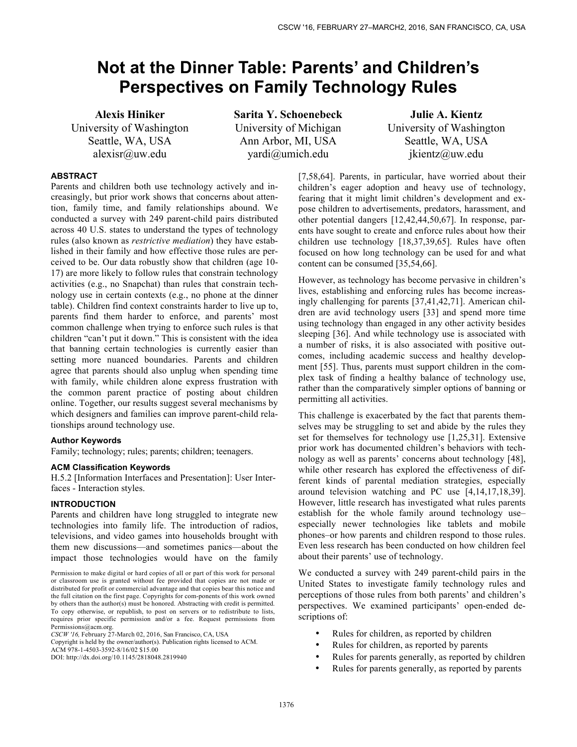# **Not at the Dinner Table: Parents' and Children's Perspectives on Family Technology Rules**

**Alexis Hiniker** University of Washington Seattle, WA, USA alexisr@uw.edu

**Sarita Y. Schoenebeck**  University of Michigan Ann Arbor, MI, USA yardi@umich.edu

**Julie A. Kientz**  University of Washington Seattle, WA, USA jkientz@uw.edu

# **ABSTRACT**

Parents and children both use technology actively and increasingly, but prior work shows that concerns about attention, family time, and family relationships abound. We conducted a survey with 249 parent-child pairs distributed across 40 U.S. states to understand the types of technology rules (also known as *restrictive mediation*) they have established in their family and how effective those rules are perceived to be. Our data robustly show that children (age 10- 17) are more likely to follow rules that constrain technology activities (e.g., no Snapchat) than rules that constrain technology use in certain contexts (e.g., no phone at the dinner table). Children find context constraints harder to live up to, parents find them harder to enforce, and parents' most common challenge when trying to enforce such rules is that children "can't put it down." This is consistent with the idea that banning certain technologies is currently easier than setting more nuanced boundaries. Parents and children agree that parents should also unplug when spending time with family, while children alone express frustration with the common parent practice of posting about children online. Together, our results suggest several mechanisms by which designers and families can improve parent-child relationships around technology use.

# **Author Keywords**

Family; technology; rules; parents; children; teenagers.

## **ACM Classification Keywords**

H.5.2 [Information Interfaces and Presentation]: User Interfaces - Interaction styles.

# **INTRODUCTION**

Parents and children have long struggled to integrate new technologies into family life. The introduction of radios, televisions, and video games into households brought with them new discussions—and sometimes panics—about the impact those technologies would have on the family

Copyright is held by the owner/author(s). Publication rights licensed to ACM.

[7,58,64]. Parents, in particular, have worried about their children's eager adoption and heavy use of technology, fearing that it might limit children's development and expose children to advertisements, predators, harassment, and other potential dangers [12,42,44,50,67]. In response, parents have sought to create and enforce rules about how their children use technology [18,37,39,65]. Rules have often focused on how long technology can be used for and what content can be consumed [35,54,66].

However, as technology has become pervasive in children's lives, establishing and enforcing rules has become increasingly challenging for parents [37,41,42,71]. American children are avid technology users [33] and spend more time using technology than engaged in any other activity besides sleeping [36]. And while technology use is associated with a number of risks, it is also associated with positive outcomes, including academic success and healthy development [55]. Thus, parents must support children in the complex task of finding a healthy balance of technology use, rather than the comparatively simpler options of banning or permitting all activities.

This challenge is exacerbated by the fact that parents themselves may be struggling to set and abide by the rules they set for themselves for technology use [1,25,31]. Extensive prior work has documented children's behaviors with technology as well as parents' concerns about technology [48], while other research has explored the effectiveness of different kinds of parental mediation strategies, especially around television watching and PC use [4,14,17,18,39]. However, little research has investigated what rules parents establish for the whole family around technology use– especially newer technologies like tablets and mobile phones–or how parents and children respond to those rules. Even less research has been conducted on how children feel about their parents' use of technology.

We conducted a survey with 249 parent-child pairs in the United States to investigate family technology rules and perceptions of those rules from both parents' and children's perspectives. We examined participants' open-ended descriptions of:

- Rules for children, as reported by children
- Rules for children, as reported by parents
- Rules for parents generally, as reported by children
- Rules for parents generally, as reported by parents

Permission to make digital or hard copies of all or part of this work for personal or classroom use is granted without fee provided that copies are not made or distributed for profit or commercial advantage and that copies bear this notice and the full citation on the first page. Copyrights for com-ponents of this work owned by others than the author(s) must be honored. Abstracting with credit is permitted. To copy otherwise, or republish, to post on servers or to redistribute to lists, requires prior specific permission and/or a fee. Request permissions from Permissions@acm.org.

*CSCW '16,* February 27-March 02, 2016, San Francisco, CA, USA

ACM 978-1-4503-3592-8/16/02 \$15.00 DOI: http://dx.doi.org/10.1145/2818048.2819940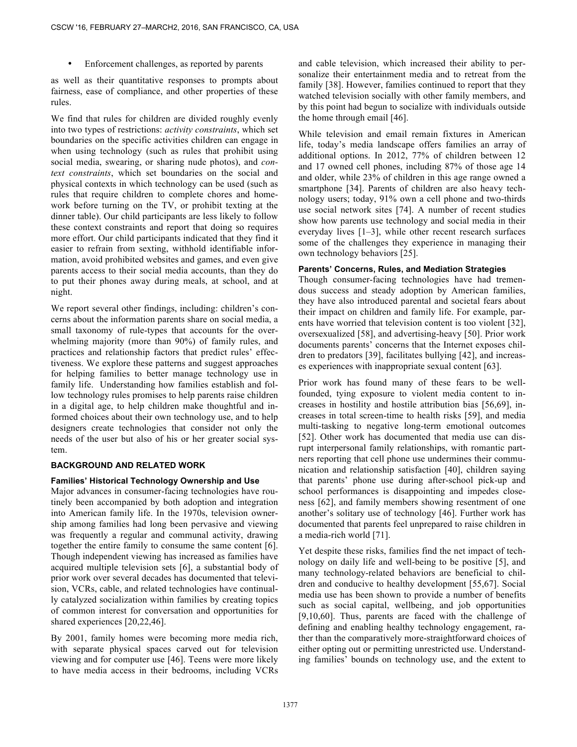Enforcement challenges, as reported by parents

as well as their quantitative responses to prompts about fairness, ease of compliance, and other properties of these rules.

We find that rules for children are divided roughly evenly into two types of restrictions: *activity constraints*, which set boundaries on the specific activities children can engage in when using technology (such as rules that prohibit using social media, swearing, or sharing nude photos), and *context constraints*, which set boundaries on the social and physical contexts in which technology can be used (such as rules that require children to complete chores and homework before turning on the TV, or prohibit texting at the dinner table). Our child participants are less likely to follow these context constraints and report that doing so requires more effort. Our child participants indicated that they find it easier to refrain from sexting, withhold identifiable information, avoid prohibited websites and games, and even give parents access to their social media accounts, than they do to put their phones away during meals, at school, and at night.

We report several other findings, including: children's concerns about the information parents share on social media, a small taxonomy of rule-types that accounts for the overwhelming majority (more than 90%) of family rules, and practices and relationship factors that predict rules' effectiveness. We explore these patterns and suggest approaches for helping families to better manage technology use in family life. Understanding how families establish and follow technology rules promises to help parents raise children in a digital age, to help children make thoughtful and informed choices about their own technology use, and to help designers create technologies that consider not only the needs of the user but also of his or her greater social system.

#### **BACKGROUND AND RELATED WORK**

#### **Families' Historical Technology Ownership and Use**

Major advances in consumer-facing technologies have routinely been accompanied by both adoption and integration into American family life. In the 1970s, television ownership among families had long been pervasive and viewing was frequently a regular and communal activity, drawing together the entire family to consume the same content [6]. Though independent viewing has increased as families have acquired multiple television sets [6], a substantial body of prior work over several decades has documented that television, VCRs, cable, and related technologies have continually catalyzed socialization within families by creating topics of common interest for conversation and opportunities for shared experiences [20,22,46].

By 2001, family homes were becoming more media rich, with separate physical spaces carved out for television viewing and for computer use [46]. Teens were more likely to have media access in their bedrooms, including VCRs and cable television, which increased their ability to personalize their entertainment media and to retreat from the family [38]. However, families continued to report that they watched television socially with other family members, and by this point had begun to socialize with individuals outside the home through email [46].

While television and email remain fixtures in American life, today's media landscape offers families an array of additional options. In 2012, 77% of children between 12 and 17 owned cell phones, including 87% of those age 14 and older, while 23% of children in this age range owned a smartphone [34]. Parents of children are also heavy technology users; today, 91% own a cell phone and two-thirds use social network sites [74]. A number of recent studies show how parents use technology and social media in their everyday lives [1–3], while other recent research surfaces some of the challenges they experience in managing their own technology behaviors [25].

## **Parents' Concerns, Rules, and Mediation Strategies**

Though consumer-facing technologies have had tremendous success and steady adoption by American families, they have also introduced parental and societal fears about their impact on children and family life. For example, parents have worried that television content is too violent [32], oversexualized [58], and advertising-heavy [50]. Prior work documents parents' concerns that the Internet exposes children to predators [39], facilitates bullying [42], and increases experiences with inappropriate sexual content [63].

Prior work has found many of these fears to be wellfounded, tying exposure to violent media content to increases in hostility and hostile attribution bias [56,69], increases in total screen-time to health risks [59], and media multi-tasking to negative long-term emotional outcomes [52]. Other work has documented that media use can disrupt interpersonal family relationships, with romantic partners reporting that cell phone use undermines their communication and relationship satisfaction [40], children saying that parents' phone use during after-school pick-up and school performances is disappointing and impedes closeness [62], and family members showing resentment of one another's solitary use of technology [46]. Further work has documented that parents feel unprepared to raise children in a media-rich world [71].

Yet despite these risks, families find the net impact of technology on daily life and well-being to be positive [5], and many technology-related behaviors are beneficial to children and conducive to healthy development [55,67]. Social media use has been shown to provide a number of benefits such as social capital, wellbeing, and job opportunities [9,10,60]. Thus, parents are faced with the challenge of defining and enabling healthy technology engagement, rather than the comparatively more-straightforward choices of either opting out or permitting unrestricted use. Understanding families' bounds on technology use, and the extent to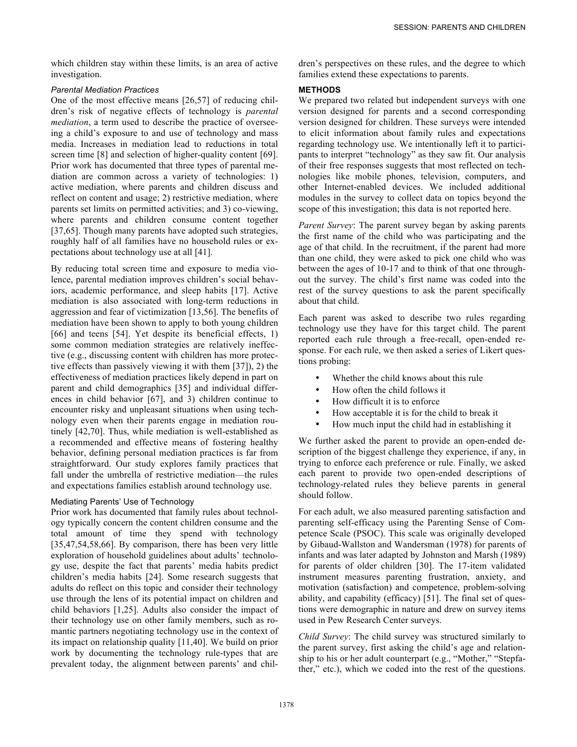which children stay within these limits, is an area of active investigation.

# *Parental Mediation Practices*

One of the most effective means [26,57] of reducing children's risk of negative effects of technology is *parental mediation*, a term used to describe the practice of overseeing a child's exposure to and use of technology and mass media. Increases in mediation lead to reductions in total screen time [8] and selection of higher-quality content [69]. Prior work has documented that three types of parental mediation are common across a variety of technologies: 1) active mediation, where parents and children discuss and reflect on content and usage; 2) restrictive mediation, where parents set limits on permitted activities; and 3) co-viewing, where parents and children consume content together [37,65]. Though many parents have adopted such strategies, roughly half of all families have no household rules or expectations about technology use at all [41].

By reducing total screen time and exposure to media violence, parental mediation improves children's social behaviors, academic performance, and sleep habits [17]. Active mediation is also associated with long-term reductions in aggression and fear of victimization [13,56]. The benefits of mediation have been shown to apply to both young children [66] and teens [54]. Yet despite its beneficial effects, 1) some common mediation strategies are relatively ineffective (e.g., discussing content with children has more protective effects than passively viewing it with them [37]), 2) the effectiveness of mediation practices likely depend in part on parent and child demographics [35] and individual differences in child behavior [67], and 3) children continue to encounter risky and unpleasant situations when using technology even when their parents engage in mediation routinely [42,70]. Thus, while mediation is well-established as a recommended and effective means of fostering healthy behavior, defining personal mediation practices is far from straightforward. Our study explores family practices that fall under the umbrella of restrictive mediation—the rules and expectations families establish around technology use.

# Mediating Parents' Use of Technology

Prior work has documented that family rules about technology typically concern the content children consume and the total amount of time they spend with technology [35,47,54,58,66]. By comparison, there has been very little exploration of household guidelines about adults' technology use, despite the fact that parents' media habits predict children's media habits [24]. Some research suggests that adults do reflect on this topic and consider their technology use through the lens of its potential impact on children and child behaviors [1,25]. Adults also consider the impact of their technology use on other family members, such as romantic partners negotiating technology use in the context of its impact on relationship quality [11,40]. We build on prior work by documenting the technology rule-types that are prevalent today, the alignment between parents' and children's perspectives on these rules, and the degree to which families extend these expectations to parents.

# **METHODS**

We prepared two related but independent surveys with one version designed for parents and a second corresponding version designed for children. These surveys were intended to elicit information about family rules and expectations regarding technology use. We intentionally left it to participants to interpret "technology" as they saw fit. Our analysis of their free responses suggests that most reflected on technologies like mobile phones, television, computers, and other Internet-enabled devices. We included additional modules in the survey to collect data on topics beyond the scope of this investigation; this data is not reported here.

*Parent Survey*: The parent survey began by asking parents the first name of the child who was participating and the age of that child. In the recruitment, if the parent had more than one child, they were asked to pick one child who was between the ages of 10-17 and to think of that one throughout the survey. The child's first name was coded into the rest of the survey questions to ask the parent specifically about that child.

Each parent was asked to describe two rules regarding technology use they have for this target child. The parent reported each rule through a free-recall, open-ended response. For each rule, we then asked a series of Likert questions probing:

- Whether the child knows about this rule
- How often the child follows it
- How difficult it is to enforce
- How acceptable it is for the child to break it
- How much input the child had in establishing it

We further asked the parent to provide an open-ended description of the biggest challenge they experience, if any, in trying to enforce each preference or rule. Finally, we asked each parent to provide two open-ended descriptions of technology-related rules they believe parents in general should follow.

For each adult, we also measured parenting satisfaction and parenting self-efficacy using the Parenting Sense of Competence Scale (PSOC). This scale was originally developed by Gibaud-Wallston and Wandersman (1978) for parents of infants and was later adapted by Johnston and Marsh (1989) for parents of older children [30]. The 17-item validated instrument measures parenting frustration, anxiety, and motivation (satisfaction) and competence, problem-solving ability, and capability (efficacy) [51]. The final set of questions were demographic in nature and drew on survey items used in Pew Research Center surveys.

*Child Survey*: The child survey was structured similarly to the parent survey, first asking the child's age and relationship to his or her adult counterpart (e.g., "Mother," "Stepfather," etc.), which we coded into the rest of the questions.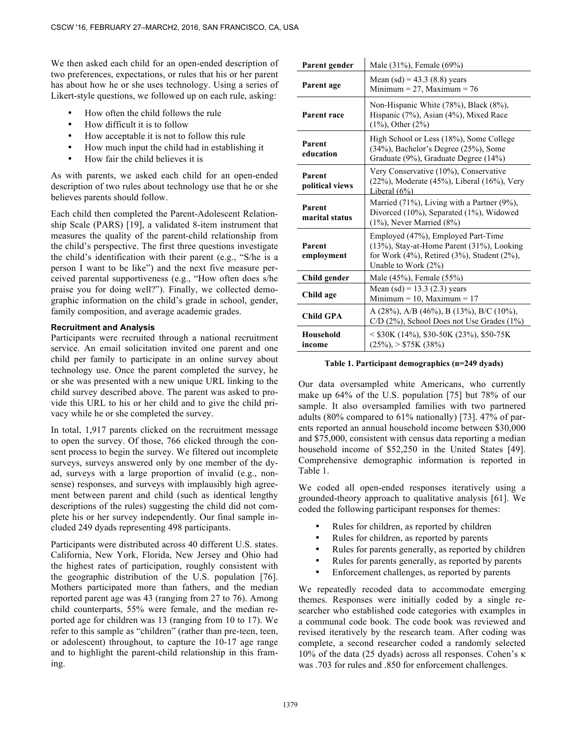We then asked each child for an open-ended description of two preferences, expectations, or rules that his or her parent has about how he or she uses technology. Using a series of Likert-style questions, we followed up on each rule, asking:

- How often the child follows the rule
- How difficult it is to follow
- How acceptable it is not to follow this rule
- How much input the child had in establishing it
- How fair the child believes it is

As with parents, we asked each child for an open-ended description of two rules about technology use that he or she believes parents should follow.

Each child then completed the Parent-Adolescent Relationship Scale (PARS) [19], a validated 8-item instrument that measures the quality of the parent-child relationship from the child's perspective. The first three questions investigate the child's identification with their parent (e.g., "S/he is a person I want to be like") and the next five measure perceived parental supportiveness (e.g., "How often does s/he praise you for doing well?"). Finally, we collected demographic information on the child's grade in school, gender, family composition, and average academic grades.

# **Recruitment and Analysis**

Participants were recruited through a national recruitment service. An email solicitation invited one parent and one child per family to participate in an online survey about technology use. Once the parent completed the survey, he or she was presented with a new unique URL linking to the child survey described above. The parent was asked to provide this URL to his or her child and to give the child privacy while he or she completed the survey.

In total, 1,917 parents clicked on the recruitment message to open the survey. Of those, 766 clicked through the consent process to begin the survey. We filtered out incomplete surveys, surveys answered only by one member of the dyad, surveys with a large proportion of invalid (e.g., nonsense) responses, and surveys with implausibly high agreement between parent and child (such as identical lengthy descriptions of the rules) suggesting the child did not complete his or her survey independently. Our final sample included 249 dyads representing 498 participants.

Participants were distributed across 40 different U.S. states. California, New York, Florida, New Jersey and Ohio had the highest rates of participation, roughly consistent with the geographic distribution of the U.S. population [76]. Mothers participated more than fathers, and the median reported parent age was 43 (ranging from 27 to 76). Among child counterparts, 55% were female, and the median reported age for children was 13 (ranging from 10 to 17). We refer to this sample as "children" (rather than pre-teen, teen, or adolescent) throughout, to capture the 10-17 age range and to highlight the parent-child relationship in this framing.

| Parent gender             | Male (31%), Female (69%)                                                                                                                                            |  |
|---------------------------|---------------------------------------------------------------------------------------------------------------------------------------------------------------------|--|
| Parent age                | Mean $(sd) = 43.3$ $(8.8)$ years<br>Minimum = 27, Maximum = $76$                                                                                                    |  |
| <b>Parent race</b>        | Non-Hispanic White (78%), Black (8%),<br>Hispanic (7%), Asian (4%), Mixed Race<br>$(1\%)$ , Other $(2\%)$                                                           |  |
| Parent<br>education       | High School or Less (18%), Some College<br>(34%), Bachelor's Degree (25%), Some<br>Graduate (9%), Graduate Degree (14%)                                             |  |
| Parent<br>political views | Very Conservative (10%), Conservative<br>$(22\%)$ , Moderate $(45\%)$ , Liberal $(16\%)$ , Very<br>Liberal $(6\%)$                                                  |  |
| Parent<br>marital status  | Married $(71\%)$ , Living with a Partner $(9\%)$ ,<br>Divorced (10%), Separated (1%), Widowed<br>$(1\%)$ , Never Married $(8\%)$                                    |  |
| Parent<br>employment      | Employed (47%), Employed Part-Time<br>(13%), Stay-at-Home Parent (31%), Looking<br>for Work $(4\%)$ , Retired $(3\%)$ , Student $(2\%)$ ,<br>Unable to Work $(2\%)$ |  |
| Child gender              | Male (45%), Female (55%)                                                                                                                                            |  |
| Child age                 | Mean $(sd) = 13.3$ (2.3) years<br>Minimum = $10$ , Maximum = $17$                                                                                                   |  |
| <b>Child GPA</b>          | A $(28\%)$ , A/B $(46\%)$ , B $(13\%)$ , B/C $(10\%)$ ,<br>$C/D$ (2%), School Does not Use Grades (1%)                                                              |  |
| Household<br>income       | $<$ \$30K (14%), \$30-50K (23%), \$50-75K<br>$(25\%)$ , > \$75K (38%)                                                                                               |  |

## **Table 1. Participant demographics (n=249 dyads)**

Our data oversampled white Americans, who currently make up 64% of the U.S. population [75] but 78% of our sample. It also oversampled families with two partnered adults (80% compared to 61% nationally) [73]. 47% of parents reported an annual household income between \$30,000 and \$75,000, consistent with census data reporting a median household income of \$52,250 in the United States [49]. Comprehensive demographic information is reported in Table 1.

We coded all open-ended responses iteratively using a grounded-theory approach to qualitative analysis [61]. We coded the following participant responses for themes:

- Rules for children, as reported by children
- Rules for children, as reported by parents
- Rules for parents generally, as reported by children
- Rules for parents generally, as reported by parents
- Enforcement challenges, as reported by parents

We repeatedly recoded data to accommodate emerging themes. Responses were initially coded by a single researcher who established code categories with examples in a communal code book. The code book was reviewed and revised iteratively by the research team. After coding was complete, a second researcher coded a randomly selected 10% of the data (25 dyads) across all responses. Cohen's κ was .703 for rules and .850 for enforcement challenges.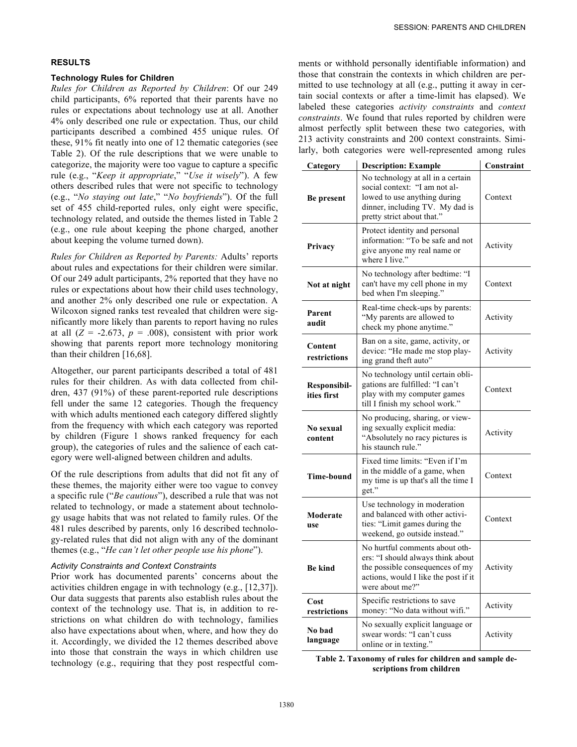# **RESULTS**

#### **Technology Rules for Children**

*Rules for Children as Reported by Children*: Of our 249 child participants, 6% reported that their parents have no rules or expectations about technology use at all. Another 4% only described one rule or expectation. Thus, our child participants described a combined 455 unique rules. Of these, 91% fit neatly into one of 12 thematic categories (see Table 2). Of the rule descriptions that we were unable to categorize, the majority were too vague to capture a specific rule (e.g., "*Keep it appropriate*," "*Use it wisely*"). A few others described rules that were not specific to technology (e.g., "*No staying out late*," "*No boyfriends*"). Of the full set of 455 child-reported rules, only eight were specific, technology related, and outside the themes listed in Table 2 (e.g., one rule about keeping the phone charged, another about keeping the volume turned down).

*Rules for Children as Reported by Parents:* Adults' reports about rules and expectations for their children were similar. Of our 249 adult participants, 2% reported that they have no rules or expectations about how their child uses technology, and another 2% only described one rule or expectation. A Wilcoxon signed ranks test revealed that children were significantly more likely than parents to report having no rules at all  $(Z = -2.673, p = .008)$ , consistent with prior work showing that parents report more technology monitoring than their children [16,68].

Altogether, our parent participants described a total of 481 rules for their children. As with data collected from children, 437 (91%) of these parent-reported rule descriptions fell under the same 12 categories. Though the frequency with which adults mentioned each category differed slightly from the frequency with which each category was reported by children (Figure 1 shows ranked frequency for each group), the categories of rules and the salience of each category were well-aligned between children and adults.

Of the rule descriptions from adults that did not fit any of these themes, the majority either were too vague to convey a specific rule ("*Be cautious*"), described a rule that was not related to technology, or made a statement about technology usage habits that was not related to family rules. Of the 481 rules described by parents, only 16 described technology-related rules that did not align with any of the dominant themes (e.g., "*He can't let other people use his phone*").

# *Activity Constraints and Context Constraints*

Prior work has documented parents' concerns about the activities children engage in with technology (e.g., [12,37]). Our data suggests that parents also establish rules about the context of the technology use. That is, in addition to restrictions on what children do with technology, families also have expectations about when, where, and how they do it. Accordingly, we divided the 12 themes described above into those that constrain the ways in which children use technology (e.g., requiring that they post respectful comments or withhold personally identifiable information) and those that constrain the contexts in which children are permitted to use technology at all (e.g., putting it away in certain social contexts or after a time-limit has elapsed). We labeled these categories *activity constraints* and *context constraints*. We found that rules reported by children were almost perfectly split between these two categories, with 213 activity constraints and 200 context constraints. Similarly, both categories were well-represented among rules

| Category                    | <b>Description: Example</b>                                                                                                                                         | Constraint |
|-----------------------------|---------------------------------------------------------------------------------------------------------------------------------------------------------------------|------------|
| Be present                  | No technology at all in a certain<br>social context: "I am not al-<br>lowed to use anything during<br>dinner, including TV. My dad is<br>pretty strict about that." | Context    |
| Privacy                     | Protect identity and personal<br>information: "To be safe and not<br>give anyone my real name or<br>where I live."                                                  | Activity   |
| Not at night                | No technology after bedtime: "I<br>can't have my cell phone in my<br>bed when I'm sleeping."                                                                        | Context    |
| Parent<br>audit             | Real-time check-ups by parents:<br>"My parents are allowed to<br>check my phone anytime."                                                                           | Activity   |
| Content<br>restrictions     | Ban on a site, game, activity, or<br>device: "He made me stop play-<br>ing grand theft auto"                                                                        | Activity   |
| Responsibil-<br>ities first | No technology until certain obli-<br>gations are fulfilled: "I can't<br>play with my computer games<br>till I finish my school work."                               | Context    |
| No sexual<br>content        | No producing, sharing, or view-<br>ing sexually explicit media:<br>"Absolutely no racy pictures is<br>his staunch rule."                                            | Activity   |
| <b>Time-bound</b>           | Fixed time limits: "Even if I'm<br>in the middle of a game, when<br>my time is up that's all the time I<br>get."                                                    | Context    |
| Moderate<br>use             | Use technology in moderation<br>and balanced with other activi-<br>Context<br>ties: "Limit games during the<br>weekend, go outside instead."                        |            |
| <b>Be kind</b>              | No hurtful comments about oth-<br>ers: "I should always think about<br>the possible consequences of my<br>actions, would I like the post if it<br>were about me?"   | Activity   |
| Cost<br>restrictions        | Specific restrictions to save<br>money: "No data without wifi."                                                                                                     | Activity   |
| No bad<br>language          | No sexually explicit language or<br>swear words: "I can't cuss<br>online or in texting."                                                                            | Activity   |

**Table 2. Taxonomy of rules for children and sample descriptions from children**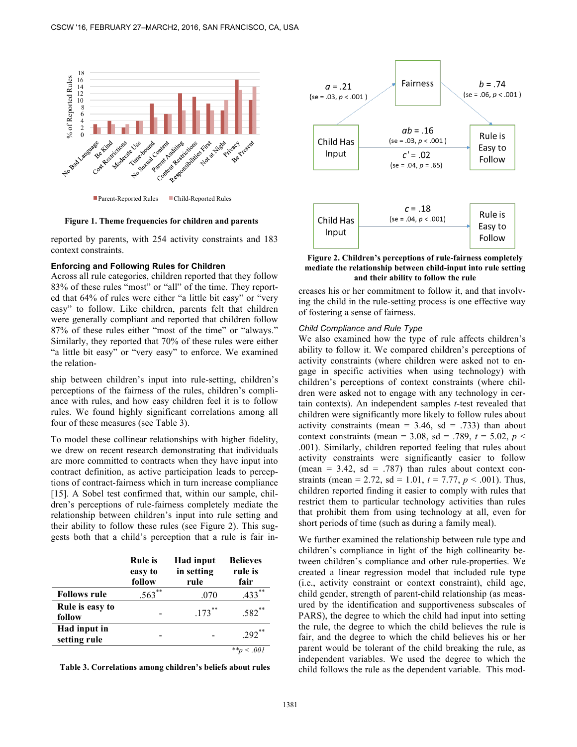

Parent-Reported Rules Child-Reported Rules

**Figure 1. Theme frequencies for children and parents**

reported by parents, with 254 activity constraints and 183 context constraints.

#### **Enforcing and Following Rules for Children**

Across all rule categories, children reported that they follow 83% of these rules "most" or "all" of the time. They reported that 64% of rules were either "a little bit easy" or "very easy" to follow. Like children, parents felt that children were generally compliant and reported that children follow 87% of these rules either "most of the time" or "always." Similarly, they reported that 70% of these rules were either "a little bit easy" or "very easy" to enforce. We examined the relation-

ship between children's input into rule-setting, children's perceptions of the fairness of the rules, children's compliance with rules, and how easy children feel it is to follow rules. We found highly significant correlations among all four of these measures (see Table 3).

To model these collinear relationships with higher fidelity, we drew on recent research demonstrating that individuals are more committed to contracts when they have input into contract definition, as active participation leads to perceptions of contract-fairness which in turn increase compliance [15]. A Sobel test confirmed that, within our sample, children's perceptions of rule-fairness completely mediate the relationship between children's input into rule setting and their ability to follow these rules (see Figure 2). This suggests both that a child's perception that a rule is fair in-

|                              | <b>Rule</b> is<br>easy to<br>follow | <b>Had input</b><br>in setting<br>rule | <b>Believes</b><br>rule is<br>fair |
|------------------------------|-------------------------------------|----------------------------------------|------------------------------------|
| <b>Follows rule</b>          | $.563$ **                           | .070                                   | $.433$ **                          |
| Rule is easy to<br>follow    |                                     | $.173$ **                              | $.582$ <sup>**</sup>               |
| Had input in<br>setting rule |                                     |                                        | $.292$ **                          |
|                              |                                     |                                        |                                    |

**Table 3. Correlations among children's beliefs about rules**



**Figure 2. Children's perceptions of rule-fairness completely mediate the relationship between child-input into rule setting and their ability to follow the rule**

creases his or her commitment to follow it, and that involving the child in the rule-setting process is one effective way of fostering a sense of fairness.

## *Child Compliance and Rule Type*

We also examined how the type of rule affects children's ability to follow it. We compared children's perceptions of activity constraints (where children were asked not to engage in specific activities when using technology) with children's perceptions of context constraints (where children were asked not to engage with any technology in certain contexts). An independent samples *t*-test revealed that children were significantly more likely to follow rules about activity constraints (mean =  $3.46$ , sd =  $.733$ ) than about context constraints (mean = 3.08, sd = .789,  $t = 5.02$ ,  $p <$ .001). Similarly, children reported feeling that rules about activity constraints were significantly easier to follow (mean =  $3.42$ , sd =  $.787$ ) than rules about context constraints (mean = 2.72, sd = 1.01,  $t = 7.77$ ,  $p < .001$ ). Thus, children reported finding it easier to comply with rules that restrict them to particular technology activities than rules that prohibit them from using technology at all, even for short periods of time (such as during a family meal).

We further examined the relationship between rule type and children's compliance in light of the high collinearity between children's compliance and other rule-properties. We created a linear regression model that included rule type (i.e., activity constraint or context constraint), child age, child gender, strength of parent-child relationship (as measured by the identification and supportiveness subscales of PARS), the degree to which the child had input into setting the rule, the degree to which the child believes the rule is fair, and the degree to which the child believes his or her parent would be tolerant of the child breaking the rule, as independent variables. We used the degree to which the child follows the rule as the dependent variable. This mod-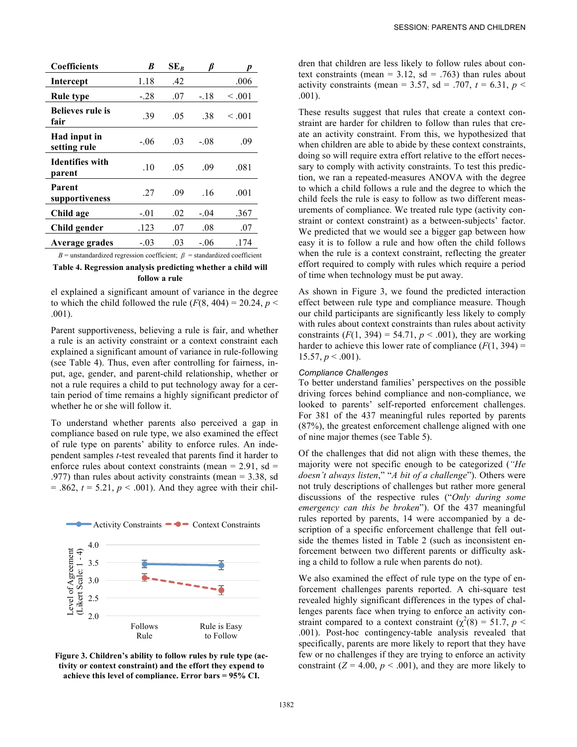| <b>Coefficients</b>              | B      | $SE_R$ |        |             |
|----------------------------------|--------|--------|--------|-------------|
| Intercept                        | 1.18   | .42    |        | .006        |
| Rule type                        | - 28   | .07    | $-.18$ | $\leq .001$ |
| <b>Believes rule is</b><br>fair  | .39    | .05    | .38    | $\leq 0.01$ |
| Had input in<br>setting rule     | $-06$  | .03    | $-08$  | .09         |
| <b>Identifies with</b><br>parent | .10    | .05    | .09    | .081        |
| Parent<br>supportiveness         | 27     | .09    | .16    | .001        |
| Child age                        | $-.01$ | .02    | $-.04$ | .367        |
| Child gender                     | .123   | .07    | .08    | .07         |
| Average grades                   | $-.03$ | .03    | $-.06$ | .174        |

 $B$  = unstandardized regression coefficient;  $\beta$  = standardized coefficient

## **Table 4. Regression analysis predicting whether a child will follow a rule**

el explained a significant amount of variance in the degree to which the child followed the rule  $(F(8, 404) = 20.24, p <$ .001).

Parent supportiveness, believing a rule is fair, and whether a rule is an activity constraint or a context constraint each explained a significant amount of variance in rule-following (see Table 4). Thus, even after controlling for fairness, input, age, gender, and parent-child relationship, whether or not a rule requires a child to put technology away for a certain period of time remains a highly significant predictor of whether he or she will follow it.

To understand whether parents also perceived a gap in compliance based on rule type, we also examined the effect of rule type on parents' ability to enforce rules. An independent samples *t*-test revealed that parents find it harder to enforce rules about context constraints (mean =  $2.91$ , sd = .977) than rules about activity constraints (mean = 3.38, sd  $= .862, t = 5.21, p < .001$ ). And they agree with their chil-



**Figure 3. Children's ability to follow rules by rule type (activity or context constraint) and the effort they expend to achieve this level of compliance. Error bars = 95% CI.**

dren that children are less likely to follow rules about context constraints (mean =  $3.12$ , sd =  $.763$ ) than rules about activity constraints (mean = 3.57, sd = .707,  $t = 6.31$ ,  $p \le$ .001).

These results suggest that rules that create a context constraint are harder for children to follow than rules that create an activity constraint. From this, we hypothesized that when children are able to abide by these context constraints, doing so will require extra effort relative to the effort necessary to comply with activity constraints. To test this prediction, we ran a repeated-measures ANOVA with the degree to which a child follows a rule and the degree to which the child feels the rule is easy to follow as two different measurements of compliance. We treated rule type (activity constraint or context constraint) as a between-subjects' factor. We predicted that we would see a bigger gap between how easy it is to follow a rule and how often the child follows when the rule is a context constraint, reflecting the greater effort required to comply with rules which require a period of time when technology must be put away.

As shown in Figure 3, we found the predicted interaction effect between rule type and compliance measure. Though our child participants are significantly less likely to comply with rules about context constraints than rules about activity constraints  $(F(1, 394) = 54.71, p < .001)$ , they are working harder to achieve this lower rate of compliance  $(F(1, 394))$  = 15.57,  $p < .001$ ).

## *Compliance Challenges*

To better understand families' perspectives on the possible driving forces behind compliance and non-compliance, we looked to parents' self-reported enforcement challenges. For 381 of the 437 meaningful rules reported by parents (87%), the greatest enforcement challenge aligned with one of nine major themes (see Table 5).

Of the challenges that did not align with these themes, the majority were not specific enough to be categorized (*"He doesn't always listen*," "*A bit of a challenge*"). Others were not truly descriptions of challenges but rather more general discussions of the respective rules ("*Only during some emergency can this be broken*"). Of the 437 meaningful rules reported by parents, 14 were accompanied by a description of a specific enforcement challenge that fell outside the themes listed in Table 2 (such as inconsistent enforcement between two different parents or difficulty asking a child to follow a rule when parents do not).

We also examined the effect of rule type on the type of enforcement challenges parents reported. A chi-square test revealed highly significant differences in the types of challenges parents face when trying to enforce an activity constraint compared to a context constraint ( $\chi^2(8) = 51.7$ , *p* < .001). Post-hoc contingency-table analysis revealed that specifically, parents are more likely to report that they have few or no challenges if they are trying to enforce an activity constraint  $(Z = 4.00, p < .001)$ , and they are more likely to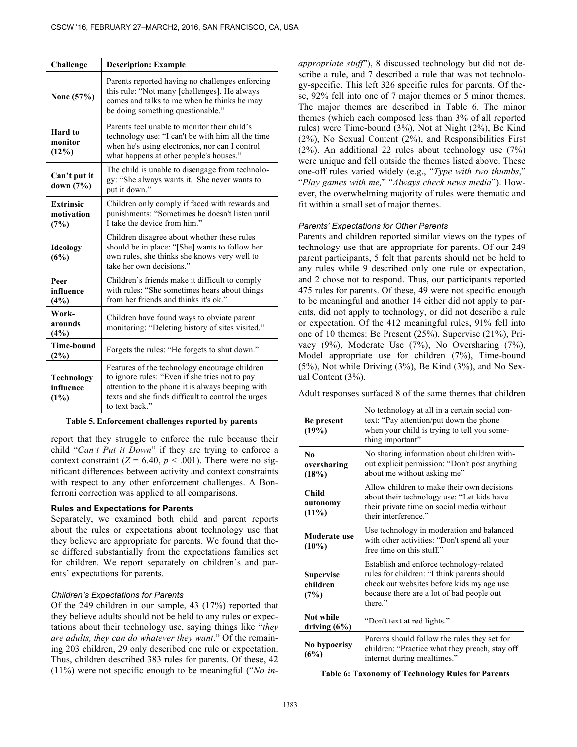| Challenge                              | <b>Description: Example</b>                                                                                                                                                                                                 |
|----------------------------------------|-----------------------------------------------------------------------------------------------------------------------------------------------------------------------------------------------------------------------------|
| None (57%)                             | Parents reported having no challenges enforcing<br>this rule: "Not many [challenges]. He always<br>comes and talks to me when he thinks he may<br>be doing something questionable."                                         |
| Hard to<br>monitor<br>(12%)            | Parents feel unable to monitor their child's<br>technology use: "I can't be with him all the time<br>when he's using electronics, nor can I control<br>what happens at other people's houses."                              |
| Can't put it<br>down $(7%)$            | The child is unable to disengage from technolo-<br>gy: "She always wants it. She never wants to<br>put it down."                                                                                                            |
| <b>Extrinsic</b><br>motivation<br>(7%) | Children only comply if faced with rewards and<br>punishments: "Sometimes he doesn't listen until<br>I take the device from him."                                                                                           |
| Ideology<br>(6%)                       | Children disagree about whether these rules<br>should be in place: "[She] wants to follow her<br>own rules, she thinks she knows very well to<br>take her own decisions."                                                   |
| Peer<br>influence<br>(4%)              | Children's friends make it difficult to comply<br>with rules: "She sometimes hears about things<br>from her friends and thinks it's ok."                                                                                    |
| Work-<br>arounds<br>(4%)               | Children have found ways to obviate parent<br>monitoring: "Deleting history of sites visited."                                                                                                                              |
| <b>Time-bound</b><br>$(2\%)$           | Forgets the rules: "He forgets to shut down."                                                                                                                                                                               |
| Technology<br>influence<br>(1%)        | Features of the technology encourage children<br>to ignore rules: "Even if she tries not to pay<br>attention to the phone it is always beeping with<br>texts and she finds difficult to control the urges<br>to text back." |

#### **Table 5. Enforcement challenges reported by parents**

report that they struggle to enforce the rule because their child "Can't Put it Down" if they are trying to enforce a context constraint ( $Z = 6.40, p < .001$ ). There were no sig- $\frac{1}{\sqrt{2}}$  activity  $\frac{1}{\sqrt{2}}$  and  $\frac{1}{\sqrt{2}}$  and  $\frac{1}{\sqrt{2}}$  context constraints with respect to any other enforcement challenges. A Bonferroni correction was applied to all comparisons.

# **Rules and Expectations for Parents**

Separately, we examined both child and parent reports about the rules or expectations about technology use that they believe are appropriate for parents. We found that these differed substantially from the expectations families set for children. We report separately on children's and parents' expectations for parents.

#### *Children's Expectations for Parents*

Of the 249 children in our sample, 43 (17%) reported that they believe adults should not be held to any rules or expectations about their technology use, saying things like "*they are adults, they can do whatever they want*." Of the remaining 203 children, 29 only described one rule or expectation. Thus, children described 383 rules for parents. Of these, 42 (11%) were not specific enough to be meaningful ("*No in-* *appropriate stuff*"), 8 discussed technology but did not describe a rule, and 7 described a rule that was not technology-specific. This left 326 specific rules for parents. Of these, 92% fell into one of 7 major themes or 5 minor themes. The major themes are described in Table 6. The minor themes (which each composed less than 3% of all reported rules) were Time-bound (3%), Not at Night (2%), Be Kind (2%), No Sexual Content (2%), and Responsibilities First (2%). An additional 22 rules about technology use (7%) were unique and fell outside the themes listed above. These one-off rules varied widely (e.g., "*Type with two thumbs*," "*Play games with me,*" "*Always check news media*"). However, the overwhelming majority of rules were thematic and fit within a small set of major themes.

## *Parents' Expectations for Other Parents*

Parents and children reported similar views on the types of technology use that are appropriate for parents. Of our 249 parent participants, 5 felt that parents should not be held to any rules while 9 described only one rule or expectation, and 2 chose not to respond. Thus, our participants reported 475 rules for parents. Of these, 49 were not specific enough to be meaningful and another 14 either did not apply to parents, did not apply to technology, or did not describe a rule or expectation. Of the 412 meaningful rules, 91% fell into one of 10 themes: Be Present (25%), Supervise (21%), Privacy (9%), Moderate Use (7%), No Oversharing (7%), Model appropriate use for children (7%), Time-bound (5%), Not while Driving (3%), Be Kind (3%), and No Sexual Content (3%).

Adult responses surfaced 8 of the same themes that children

| Be present<br>(19%)                    | No technology at all in a certain social con-<br>text: "Pay attention/put down the phone<br>when your child is trying to tell you some-<br>thing important"                                  |
|----------------------------------------|----------------------------------------------------------------------------------------------------------------------------------------------------------------------------------------------|
| N <sub>0</sub><br>oversharing<br>(18%) | No sharing information about children with-<br>out explicit permission: "Don't post anything<br>about me without asking me"                                                                  |
| Child<br>autonomy<br>(11%)             | Allow children to make their own decisions<br>about their technology use: "Let kids have<br>their private time on social media without<br>their interference."                               |
| Moderate use<br>$(10\%)$               | Use technology in moderation and balanced<br>with other activities: "Don't spend all your<br>free time on this stuff."                                                                       |
| <b>Supervise</b><br>children<br>(7%)   | Establish and enforce technology-related<br>rules for children: "I think parents should<br>check out websites before kids my age use<br>because there are a lot of bad people out<br>there." |
| Not while<br>driving $(6\%)$           | "Don't text at red lights."                                                                                                                                                                  |
| No hypocrisy<br>(6%)                   | Parents should follow the rules they set for<br>children: "Practice what they preach, stay off<br>internet during mealtimes."                                                                |

**Table 6: Taxonomy of Technology Rules for Parents**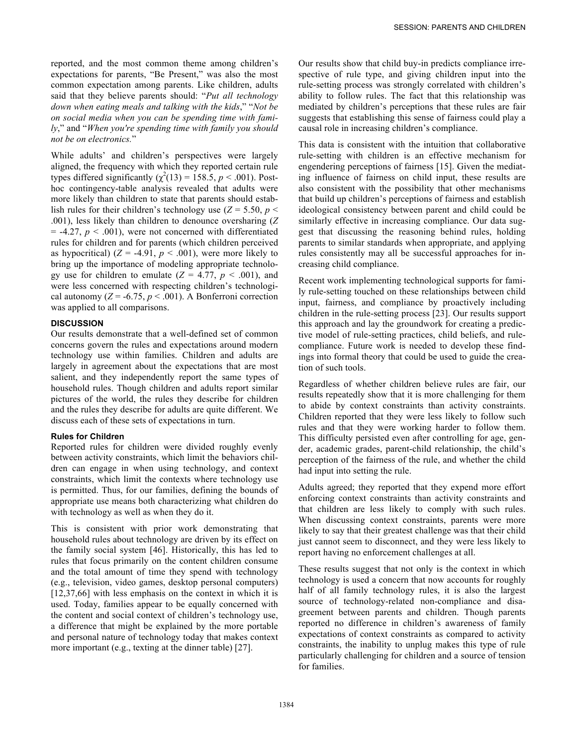reported, and the most common theme among children's expectations for parents, "Be Present," was also the most common expectation among parents. Like children, adults said that they believe parents should: "*Put all technology down when eating meals and talking with the kids*," "*Not be on social media when you can be spending time with family*," and "*When you're spending time with family you should not be on electronics.*"

While adults' and children's perspectives were largely aligned, the frequency with which they reported certain rule types differed significantly  $(\chi^2(13) = 158.5, p < .001)$ . Posthoc contingency-table analysis revealed that adults were more likely than children to state that parents should establish rules for their children's technology use ( $Z = 5.50$ ,  $p <$ .001), less likely than children to denounce oversharing (*Z*   $= -4.27, p < .001$ , were not concerned with differentiated rules for children and for parents (which children perceived as hypocritical)  $(Z = -4.91, p < .001)$ , were more likely to bring up the importance of modeling appropriate technology use for children to emulate  $(Z = 4.77, p < .001)$ , and were less concerned with respecting children's technological autonomy ( $Z = -6.75$ ,  $p < .001$ ). A Bonferroni correction was applied to all comparisons.

#### **DISCUSSION**

Our results demonstrate that a well-defined set of common concerns govern the rules and expectations around modern technology use within families. Children and adults are largely in agreement about the expectations that are most salient, and they independently report the same types of household rules. Though children and adults report similar pictures of the world, the rules they describe for children and the rules they describe for adults are quite different. We discuss each of these sets of expectations in turn.

#### **Rules for Children**

Reported rules for children were divided roughly evenly between activity constraints, which limit the behaviors children can engage in when using technology, and context constraints, which limit the contexts where technology use is permitted. Thus, for our families, defining the bounds of appropriate use means both characterizing what children do with technology as well as when they do it.

This is consistent with prior work demonstrating that household rules about technology are driven by its effect on the family social system [46]. Historically, this has led to rules that focus primarily on the content children consume and the total amount of time they spend with technology (e.g., television, video games, desktop personal computers) [12,37,66] with less emphasis on the context in which it is used. Today, families appear to be equally concerned with the content and social context of children's technology use, a difference that might be explained by the more portable and personal nature of technology today that makes context more important (e.g., texting at the dinner table) [27].

Our results show that child buy-in predicts compliance irrespective of rule type, and giving children input into the rule-setting process was strongly correlated with children's ability to follow rules. The fact that this relationship was mediated by children's perceptions that these rules are fair suggests that establishing this sense of fairness could play a causal role in increasing children's compliance.

This data is consistent with the intuition that collaborative rule-setting with children is an effective mechanism for engendering perceptions of fairness [15]. Given the mediating influence of fairness on child input, these results are also consistent with the possibility that other mechanisms that build up children's perceptions of fairness and establish ideological consistency between parent and child could be similarly effective in increasing compliance. Our data suggest that discussing the reasoning behind rules, holding parents to similar standards when appropriate, and applying rules consistently may all be successful approaches for increasing child compliance.

Recent work implementing technological supports for family rule-setting touched on these relationships between child input, fairness, and compliance by proactively including children in the rule-setting process [23]. Our results support this approach and lay the groundwork for creating a predictive model of rule-setting practices, child beliefs, and rulecompliance. Future work is needed to develop these findings into formal theory that could be used to guide the creation of such tools.

Regardless of whether children believe rules are fair, our results repeatedly show that it is more challenging for them to abide by context constraints than activity constraints. Children reported that they were less likely to follow such rules and that they were working harder to follow them. This difficulty persisted even after controlling for age, gender, academic grades, parent-child relationship, the child's perception of the fairness of the rule, and whether the child had input into setting the rule.

Adults agreed; they reported that they expend more effort enforcing context constraints than activity constraints and that children are less likely to comply with such rules. When discussing context constraints, parents were more likely to say that their greatest challenge was that their child just cannot seem to disconnect, and they were less likely to report having no enforcement challenges at all.

These results suggest that not only is the context in which technology is used a concern that now accounts for roughly half of all family technology rules, it is also the largest source of technology-related non-compliance and disagreement between parents and children. Though parents reported no difference in children's awareness of family expectations of context constraints as compared to activity constraints, the inability to unplug makes this type of rule particularly challenging for children and a source of tension for families.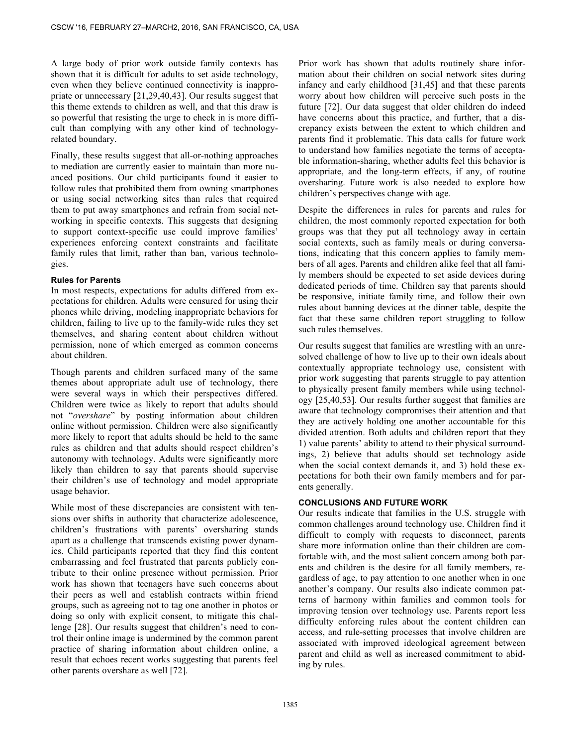A large body of prior work outside family contexts has shown that it is difficult for adults to set aside technology, even when they believe continued connectivity is inappropriate or unnecessary [21,29,40,43]. Our results suggest that this theme extends to children as well, and that this draw is so powerful that resisting the urge to check in is more difficult than complying with any other kind of technologyrelated boundary.

Finally, these results suggest that all-or-nothing approaches to mediation are currently easier to maintain than more nuanced positions. Our child participants found it easier to follow rules that prohibited them from owning smartphones or using social networking sites than rules that required them to put away smartphones and refrain from social networking in specific contexts. This suggests that designing to support context-specific use could improve families' experiences enforcing context constraints and facilitate family rules that limit, rather than ban, various technologies.

# **Rules for Parents**

In most respects, expectations for adults differed from expectations for children. Adults were censured for using their phones while driving, modeling inappropriate behaviors for children, failing to live up to the family-wide rules they set themselves, and sharing content about children without permission, none of which emerged as common concerns about children.

Though parents and children surfaced many of the same themes about appropriate adult use of technology, there were several ways in which their perspectives differed. Children were twice as likely to report that adults should not "*overshare*" by posting information about children online without permission. Children were also significantly more likely to report that adults should be held to the same rules as children and that adults should respect children's autonomy with technology. Adults were significantly more likely than children to say that parents should supervise their children's use of technology and model appropriate usage behavior.

While most of these discrepancies are consistent with tensions over shifts in authority that characterize adolescence, children's frustrations with parents' oversharing stands apart as a challenge that transcends existing power dynamics. Child participants reported that they find this content embarrassing and feel frustrated that parents publicly contribute to their online presence without permission. Prior work has shown that teenagers have such concerns about their peers as well and establish contracts within friend groups, such as agreeing not to tag one another in photos or doing so only with explicit consent, to mitigate this challenge [28]. Our results suggest that children's need to control their online image is undermined by the common parent practice of sharing information about children online, a result that echoes recent works suggesting that parents feel other parents overshare as well [72].

Prior work has shown that adults routinely share information about their children on social network sites during infancy and early childhood [31,45] and that these parents worry about how children will perceive such posts in the future [72]. Our data suggest that older children do indeed have concerns about this practice, and further, that a discrepancy exists between the extent to which children and parents find it problematic. This data calls for future work to understand how families negotiate the terms of acceptable information-sharing, whether adults feel this behavior is appropriate, and the long-term effects, if any, of routine oversharing. Future work is also needed to explore how children's perspectives change with age.

Despite the differences in rules for parents and rules for children, the most commonly reported expectation for both groups was that they put all technology away in certain social contexts, such as family meals or during conversations, indicating that this concern applies to family members of all ages. Parents and children alike feel that all family members should be expected to set aside devices during dedicated periods of time. Children say that parents should be responsive, initiate family time, and follow their own rules about banning devices at the dinner table, despite the fact that these same children report struggling to follow such rules themselves.

Our results suggest that families are wrestling with an unresolved challenge of how to live up to their own ideals about contextually appropriate technology use, consistent with prior work suggesting that parents struggle to pay attention to physically present family members while using technology [25,40,53]. Our results further suggest that families are aware that technology compromises their attention and that they are actively holding one another accountable for this divided attention. Both adults and children report that they 1) value parents' ability to attend to their physical surroundings, 2) believe that adults should set technology aside when the social context demands it, and 3) hold these expectations for both their own family members and for parents generally.

# **CONCLUSIONS AND FUTURE WORK**

Our results indicate that families in the U.S. struggle with common challenges around technology use. Children find it difficult to comply with requests to disconnect, parents share more information online than their children are comfortable with, and the most salient concern among both parents and children is the desire for all family members, regardless of age, to pay attention to one another when in one another's company. Our results also indicate common patterns of harmony within families and common tools for improving tension over technology use. Parents report less difficulty enforcing rules about the content children can access, and rule-setting processes that involve children are associated with improved ideological agreement between parent and child as well as increased commitment to abiding by rules.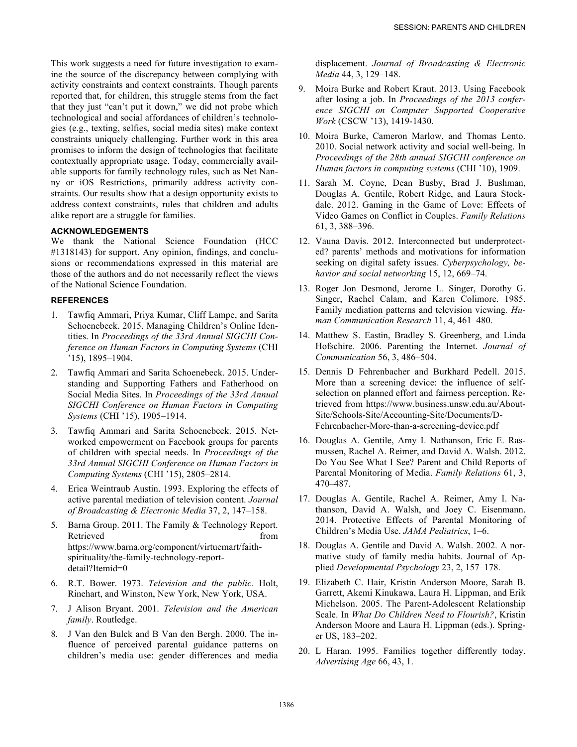This work suggests a need for future investigation to examine the source of the discrepancy between complying with activity constraints and context constraints. Though parents reported that, for children, this struggle stems from the fact that they just "can't put it down," we did not probe which technological and social affordances of children's technologies (e.g., texting, selfies, social media sites) make context constraints uniquely challenging. Further work in this area promises to inform the design of technologies that facilitate contextually appropriate usage. Today, commercially available supports for family technology rules, such as Net Nanny or iOS Restrictions, primarily address activity constraints. Our results show that a design opportunity exists to address context constraints, rules that children and adults alike report are a struggle for families.

# **ACKNOWLEDGEMENTS**

We thank the National Science Foundation (HCC #1318143) for support. Any opinion, findings, and conclusions or recommendations expressed in this material are those of the authors and do not necessarily reflect the views of the National Science Foundation.

# **REFERENCES**

- 1. Tawfiq Ammari, Priya Kumar, Cliff Lampe, and Sarita Schoenebeck. 2015. Managing Children's Online Identities. In *Proceedings of the 33rd Annual SIGCHI Conference on Human Factors in Computing Systems* (CHI '15), 1895–1904.
- 2. Tawfiq Ammari and Sarita Schoenebeck. 2015. Understanding and Supporting Fathers and Fatherhood on Social Media Sites. In *Proceedings of the 33rd Annual SIGCHI Conference on Human Factors in Computing Systems* (CHI '15), 1905–1914.
- Tawfiq Ammari and Sarita Schoenebeck. 2015. Networked empowerment on Facebook groups for parents of children with special needs. In *Proceedings of the 33rd Annual SIGCHI Conference on Human Factors in Computing Systems* (CHI '15), 2805–2814.
- 4. Erica Weintraub Austin. 1993. Exploring the effects of active parental mediation of television content. *Journal of Broadcasting & Electronic Media* 37, 2, 147–158.
- 5. Barna Group. 2011. The Family & Technology Report. Retrieved from the state of the state of the state of the state of the state of the state of the state of the state of the state of the state of the state of the state of the state of the state of the state of the state of https://www.barna.org/component/virtuemart/faithspirituality/the-family-technology-reportdetail?Itemid=0
- 6. R.T. Bower. 1973. *Television and the public*. Holt, Rinehart, and Winston, New York, New York, USA.
- 7. J Alison Bryant. 2001. *Television and the American family*. Routledge.
- 8. J Van den Bulck and B Van den Bergh. 2000. The influence of perceived parental guidance patterns on children's media use: gender differences and media

displacement. *Journal of Broadcasting & Electronic Media* 44, 3, 129–148.

- 9. Moira Burke and Robert Kraut. 2013. Using Facebook after losing a job. In *Proceedings of the 2013 conference SIGCHI on Computer Supported Cooperative Work* (CSCW '13), 1419-1430.
- 10. Moira Burke, Cameron Marlow, and Thomas Lento. 2010. Social network activity and social well-being. In *Proceedings of the 28th annual SIGCHI conference on Human factors in computing systems* (CHI '10), 1909.
- 11. Sarah M. Coyne, Dean Busby, Brad J. Bushman, Douglas A. Gentile, Robert Ridge, and Laura Stockdale. 2012. Gaming in the Game of Love: Effects of Video Games on Conflict in Couples. *Family Relations* 61, 3, 388–396.
- 12. Vauna Davis. 2012. Interconnected but underprotected? parents' methods and motivations for information seeking on digital safety issues. *Cyberpsychology, behavior and social networking* 15, 12, 669–74.
- 13. Roger Jon Desmond, Jerome L. Singer, Dorothy G. Singer, Rachel Calam, and Karen Colimore. 1985. Family mediation patterns and television viewing*. Human Communication Research* 11, 4, 461–480.
- 14. Matthew S. Eastin, Bradley S. Greenberg, and Linda Hofschire. 2006. Parenting the Internet. *Journal of Communication* 56, 3, 486–504.
- 15. Dennis D Fehrenbacher and Burkhard Pedell. 2015. More than a screening device: the influence of selfselection on planned effort and fairness perception. Retrieved from https://www.business.unsw.edu.au/About-Site/Schools-Site/Accounting-Site/Documents/D-Fehrenbacher-More-than-a-screening-device.pdf
- 16. Douglas A. Gentile, Amy I. Nathanson, Eric E. Rasmussen, Rachel A. Reimer, and David A. Walsh. 2012. Do You See What I See? Parent and Child Reports of Parental Monitoring of Media. *Family Relations* 61, 3, 470–487.
- 17. Douglas A. Gentile, Rachel A. Reimer, Amy I. Nathanson, David A. Walsh, and Joey C. Eisenmann. 2014. Protective Effects of Parental Monitoring of Children's Media Use. *JAMA Pediatrics*, 1–6.
- 18. Douglas A. Gentile and David A. Walsh. 2002. A normative study of family media habits. Journal of Applied *Developmental Psychology* 23, 2, 157–178.
- 19. Elizabeth C. Hair, Kristin Anderson Moore, Sarah B. Garrett, Akemi Kinukawa, Laura H. Lippman, and Erik Michelson. 2005. The Parent-Adolescent Relationship Scale. In *What Do Children Need to Flourish?*, Kristin Anderson Moore and Laura H. Lippman (eds.). Springer US, 183–202.
- 20. L Haran. 1995. Families together differently today. *Advertising Age* 66, 43, 1.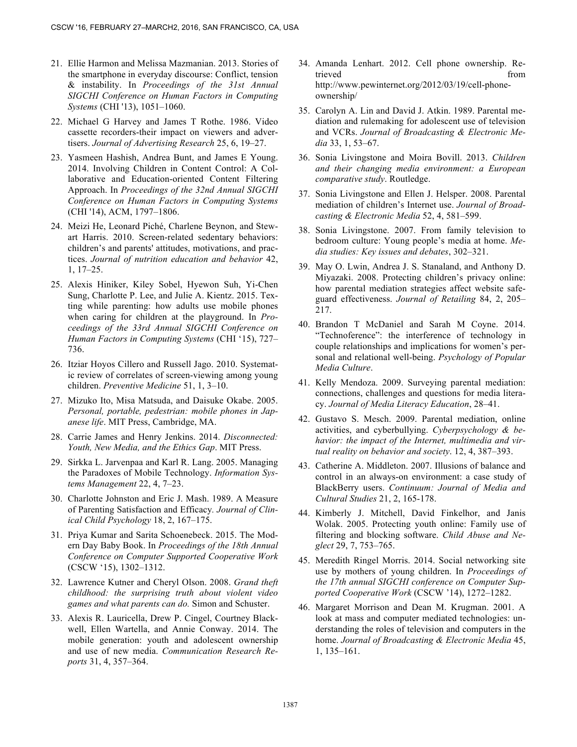- 21. Ellie Harmon and Melissa Mazmanian. 2013. Stories of the smartphone in everyday discourse: Conflict, tension & instability. In *Proceedings of the 31st Annual SIGCHI Conference on Human Factors in Computing Systems* (CHI '13), 1051–1060.
- 22. Michael G Harvey and James T Rothe. 1986. Video cassette recorders-their impact on viewers and advertisers. *Journal of Advertising Research* 25, 6, 19–27.
- 23. Yasmeen Hashish, Andrea Bunt, and James E Young. 2014. Involving Children in Content Control: A Collaborative and Education-oriented Content Filtering Approach. In *Proceedings of the 32nd Annual SIGCHI Conference on Human Factors in Computing Systems* (CHI '14), ACM, 1797–1806.
- 24. Meizi He, Leonard Piché, Charlene Beynon, and Stewart Harris. 2010. Screen-related sedentary behaviors: children's and parents' attitudes, motivations, and practices. *Journal of nutrition education and behavior* 42, 1, 17–25.
- 25. Alexis Hiniker, Kiley Sobel, Hyewon Suh, Yi-Chen Sung, Charlotte P. Lee, and Julie A. Kientz. 2015. Texting while parenting: how adults use mobile phones when caring for children at the playground. In *Proceedings of the 33rd Annual SIGCHI Conference on Human Factors in Computing Systems* (CHI '15), 727– 736.
- 26. Itziar Hoyos Cillero and Russell Jago. 2010. Systematic review of correlates of screen-viewing among young children. *Preventive Medicine* 51, 1, 3–10.
- 27. Mizuko Ito, Misa Matsuda, and Daisuke Okabe. 2005. *Personal, portable, pedestrian: mobile phones in Japanese life*. MIT Press, Cambridge, MA.
- 28. Carrie James and Henry Jenkins. 2014. *Disconnected: Youth, New Media, and the Ethics Gap*. MIT Press.
- 29. Sirkka L. Jarvenpaa and Karl R. Lang. 2005. Managing the Paradoxes of Mobile Technology. *Information Systems Management* 22, 4, 7–23.
- 30. Charlotte Johnston and Eric J. Mash. 1989. A Measure of Parenting Satisfaction and Efficacy*. Journal of Clinical Child Psychology* 18, 2, 167–175.
- 31. Priya Kumar and Sarita Schoenebeck. 2015. The Modern Day Baby Book. In *Proceedings of the 18th Annual Conference on Computer Supported Cooperative Work*  (CSCW '15), 1302–1312.
- 32. Lawrence Kutner and Cheryl Olson. 2008. *Grand theft childhood: the surprising truth about violent video games and what parents can do.* Simon and Schuster.
- 33. Alexis R. Lauricella, Drew P. Cingel, Courtney Blackwell, Ellen Wartella, and Annie Conway. 2014. The mobile generation: youth and adolescent ownership and use of new media. *Communication Research Reports* 31, 4, 357–364.
- 34. Amanda Lenhart. 2012. Cell phone ownership. Retrieved from  $\sim$ http://www.pewinternet.org/2012/03/19/cell-phoneownership/
- 35. Carolyn A. Lin and David J. Atkin. 1989. Parental mediation and rulemaking for adolescent use of television and VCRs. *Journal of Broadcasting & Electronic Media* 33, 1, 53–67.
- 36. Sonia Livingstone and Moira Bovill. 2013. *Children and their changing media environment: a European comparative study*. Routledge.
- 37. Sonia Livingstone and Ellen J. Helsper. 2008. Parental mediation of children's Internet use. *Journal of Broadcasting & Electronic Media* 52, 4, 581–599.
- 38. Sonia Livingstone. 2007. From family television to bedroom culture: Young people's media at home. *Media studies: Key issues and debates*, 302–321.
- 39. May O. Lwin, Andrea J. S. Stanaland, and Anthony D. Miyazaki. 2008. Protecting children's privacy online: how parental mediation strategies affect website safeguard effectiveness. *Journal of Retailing* 84, 2, 205– 217.
- 40. Brandon T McDaniel and Sarah M Coyne. 2014. "Technoference": the interference of technology in couple relationships and implications for women's personal and relational well-being. *Psychology of Popular Media Culture*.
- 41. Kelly Mendoza. 2009. Surveying parental mediation: connections, challenges and questions for media literacy. *Journal of Media Literacy Education*, 28–41.
- 42. Gustavo S. Mesch. 2009. Parental mediation, online activities, and cyberbullying. *Cyberpsychology & behavior: the impact of the Internet, multimedia and virtual reality on behavior and society*. 12, 4, 387–393.
- 43. Catherine A. Middleton. 2007. Illusions of balance and control in an always-on environment: a case study of BlackBerry users. *Continuum: Journal of Media and Cultural Studies* 21, 2, 165-178.
- 44. Kimberly J. Mitchell, David Finkelhor, and Janis Wolak. 2005. Protecting youth online: Family use of filtering and blocking software. *Child Abuse and Neglect* 29, 7, 753–765.
- 45. Meredith Ringel Morris. 2014. Social networking site use by mothers of young children. In *Proceedings of the 17th annual SIGCHI conference on Computer Supported Cooperative Work* (CSCW '14), 1272–1282.
- 46. Margaret Morrison and Dean M. Krugman. 2001. A look at mass and computer mediated technologies: understanding the roles of television and computers in the home. *Journal of Broadcasting & Electronic Media* 45, 1, 135–161.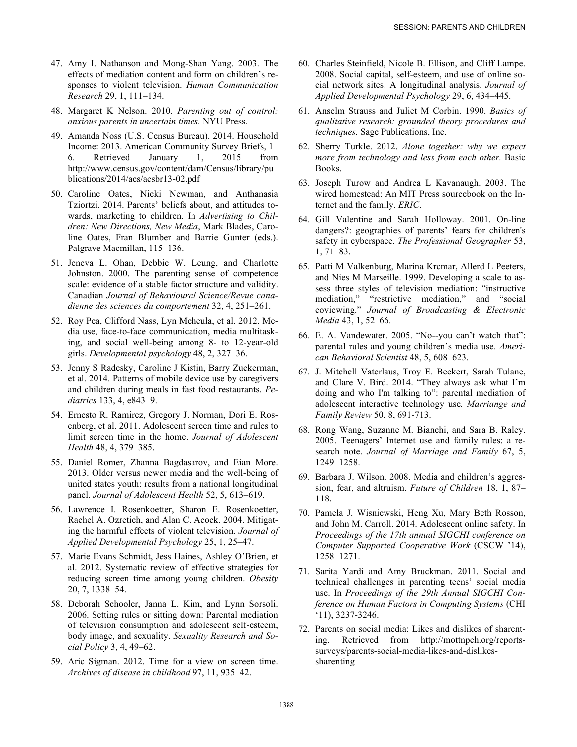- 47. Amy I. Nathanson and Mong-Shan Yang. 2003. The effects of mediation content and form on children's responses to violent television. *Human Communication Research* 29, 1, 111–134.
- 48. Margaret K Nelson. 2010. *Parenting out of control: anxious parents in uncertain times.* NYU Press.
- 49. Amanda Noss (U.S. Census Bureau). 2014. Household Income: 2013. American Community Survey Briefs, 1– 6. Retrieved January 1, 2015 from http://www.census.gov/content/dam/Census/library/pu blications/2014/acs/acsbr13-02.pdf
- 50. Caroline Oates, Nicki Newman, and Anthanasia Tziortzi. 2014. Parents' beliefs about, and attitudes towards, marketing to children. In *Advertising to Children: New Directions, New Media*, Mark Blades, Caroline Oates, Fran Blumber and Barrie Gunter (eds.). Palgrave Macmillan, 115–136.
- 51. Jeneva L. Ohan, Debbie W. Leung, and Charlotte Johnston. 2000. The parenting sense of competence scale: evidence of a stable factor structure and validity. Canadian *Journal of Behavioural Science/Revue canadienne des sciences du comportement* 32, 4, 251–261.
- 52. Roy Pea, Clifford Nass, Lyn Meheula, et al. 2012. Media use, face-to-face communication, media multitasking, and social well-being among 8- to 12-year-old girls. *Developmental psychology* 48, 2, 327–36.
- 53. Jenny S Radesky, Caroline J Kistin, Barry Zuckerman, et al. 2014. Patterns of mobile device use by caregivers and children during meals in fast food restaurants. *Pediatrics* 133, 4, e843–9.
- 54. Ernesto R. Ramirez, Gregory J. Norman, Dori E. Rosenberg, et al. 2011. Adolescent screen time and rules to limit screen time in the home. *Journal of Adolescent Health* 48, 4, 379–385.
- 55. Daniel Romer, Zhanna Bagdasarov, and Eian More. 2013. Older versus newer media and the well-being of united states youth: results from a national longitudinal panel. *Journal of Adolescent Health* 52, 5, 613–619.
- 56. Lawrence I. Rosenkoetter, Sharon E. Rosenkoetter, Rachel A. Ozretich, and Alan C. Acock. 2004. Mitigating the harmful effects of violent television. *Journal of Applied Developmental Psychology* 25, 1, 25–47.
- 57. Marie Evans Schmidt, Jess Haines, Ashley O'Brien, et al. 2012. Systematic review of effective strategies for reducing screen time among young children. *Obesity* 20, 7, 1338–54.
- 58. Deborah Schooler, Janna L. Kim, and Lynn Sorsoli. 2006. Setting rules or sitting down: Parental mediation of television consumption and adolescent self-esteem, body image, and sexuality. *Sexuality Research and Social Policy* 3, 4, 49–62.
- 59. Aric Sigman. 2012. Time for a view on screen time. *Archives of disease in childhood* 97, 11, 935–42.
- 60. Charles Steinfield, Nicole B. Ellison, and Cliff Lampe. 2008. Social capital, self-esteem, and use of online social network sites: A longitudinal analysis. *Journal of Applied Developmental Psychology* 29, 6, 434–445.
- 61. Anselm Strauss and Juliet M Corbin. 1990. *Basics of qualitative research: grounded theory procedures and techniques.* Sage Publications, Inc.
- 62. Sherry Turkle. 2012. *Alone together: why we expect more from technology and less from each other.* Basic Books.
- 63. Joseph Turow and Andrea L Kavanaugh. 2003. The wired homestead: An MIT Press sourcebook on the Internet and the family. *ERIC*.
- 64. Gill Valentine and Sarah Holloway. 2001. On-line dangers?: geographies of parents' fears for children's safety in cyberspace. *The Professional Geographer* 53, 1, 71–83.
- 65. Patti M Valkenburg, Marina Krcmar, Allerd L Peeters, and Nies M Marseille. 1999. Developing a scale to assess three styles of television mediation: "instructive mediation," "restrictive mediation," and "social coviewing." *Journal of Broadcasting & Electronic Media* 43, 1, 52–66.
- 66. E. A. Vandewater. 2005. "No--you can't watch that": parental rules and young children's media use. *American Behavioral Scientist* 48, 5, 608–623.
- 67. J. Mitchell Vaterlaus, Troy E. Beckert, Sarah Tulane, and Clare V. Bird. 2014. "They always ask what I'm doing and who I'm talking to": parental mediation of adolescent interactive technology use*. Marriange and Family Review* 50, 8, 691-713.
- 68. Rong Wang, Suzanne M. Bianchi, and Sara B. Raley. 2005. Teenagers' Internet use and family rules: a research note. *Journal of Marriage and Family* 67, 5, 1249–1258.
- 69. Barbara J. Wilson. 2008. Media and children's aggression, fear, and altruism. *Future of Children* 18, 1, 87– 118.
- 70. Pamela J. Wisniewski, Heng Xu, Mary Beth Rosson, and John M. Carroll. 2014. Adolescent online safety. In *Proceedings of the 17th annual SIGCHI conference on Computer Supported Cooperative Work* (CSCW '14), 1258–1271.
- 71. Sarita Yardi and Amy Bruckman. 2011. Social and technical challenges in parenting teens' social media use. In *Proceedings of the 29th Annual SIGCHI Conference on Human Factors in Computing Systems* (CHI '11), 3237-3246.
- 72. Parents on social media: Likes and dislikes of sharenting. Retrieved from http://mottnpch.org/reportssurveys/parents-social-media-likes-and-dislikessharenting